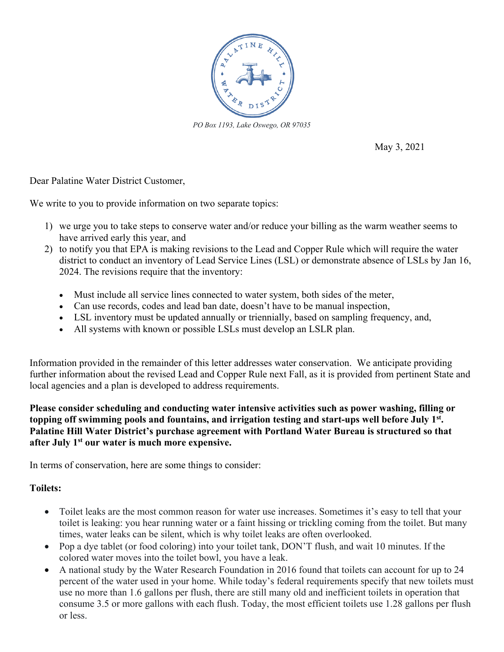

*PO Box 1193, Lake Oswego, OR 97035*

May 3, 2021

Dear Palatine Water District Customer,

We write to you to provide information on two separate topics:

- 1) we urge you to take steps to conserve water and/or reduce your billing as the warm weather seems to have arrived early this year, and
- 2) to notify you that EPA is making revisions to the Lead and Copper Rule which will require the water district to conduct an inventory of Lead Service Lines (LSL) or demonstrate absence of LSLs by Jan 16, 2024. The revisions require that the inventory:
	- Must include all service lines connected to water system, both sides of the meter,
	- Can use records, codes and lead ban date, doesn't have to be manual inspection,
	- LSL inventory must be updated annually or triennially, based on sampling frequency, and,
	- All systems with known or possible LSLs must develop an LSLR plan.

Information provided in the remainder of this letter addresses water conservation. We anticipate providing further information about the revised Lead and Copper Rule next Fall, as it is provided from pertinent State and local agencies and a plan is developed to address requirements.

**Please consider scheduling and conducting water intensive activities such as power washing, filling or topping off swimming pools and fountains, and irrigation testing and start-ups well before July 1st. Palatine Hill Water District's purchase agreement with Portland Water Bureau is structured so that after July 1st our water is much more expensive.**

In terms of conservation, here are some things to consider:

## **Toilets:**

- Toilet leaks are the most common reason for water use increases. Sometimes it's easy to tell that your toilet is leaking: you hear running water or a faint hissing or trickling coming from the toilet. But many times, water leaks can be silent, which is why toilet leaks are often overlooked.
- Pop a dye tablet (or food coloring) into your toilet tank, DON'T flush, and wait 10 minutes. If the colored water moves into the toilet bowl, you have a leak.
- A national study by the Water Research Foundation in 2016 found that toilets can account for up to 24 percent of the water used in your home. While today's federal requirements specify that new toilets must use no more than 1.6 gallons per flush, there are still many old and inefficient toilets in operation that consume 3.5 or more gallons with each flush. Today, the most efficient toilets use 1.28 gallons per flush or less.